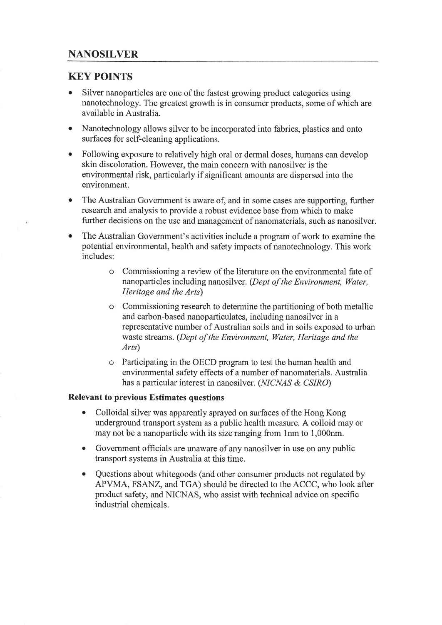# KEY POINTS

- Silver nanoparticles are one of the fastest growing product categories using nanotechnology. The greatest growth is in consumer products, some of which are available in Australia.
- Nanotechnology allows silver to be incorporated into fabrics, plastics and onto surfaces for self-cleaning applications.
- Following exposure to relatively high oral or dermal doses, humans can develop skin discoloration. However, the main concern with nanosilver is the environmental risk, particularly if significant amounts are dispersed into the environment.
- o The Australian Govemment is aware of, and in some cases are supporting, further research and analysis to provide a robust evidence base from which to make further decisions on the use and management of nanomaterials, such as nanosilver.
- The Australian Government's activities include a program of work to examine the potential environmental, health and safety impacts of nanotechnology. This work includes:
	- o Commissioning a review of the literature on the environmental fate of nanoparticles including nanosilver. (Dept of the Environment, Water, Heritage and the Arts)
	- o Commissioning research to determine the partitioning of both metallic and carbon-based nanoparticulates, including nanosilver in a representative number of Australian soils and in soils exposed to urban waste streams. (Dept of the Environment, Water, Heritage and the Arts)
	- o Participating in the OECD program to test the human health and environmental safety effects of a number of nanomaterials. Australia has a particular interest in nanosilver. (NICNAS & CSIRO)

## Relevant to previous Estimates questions

- Colloidal silver was apparently sprayed on surfaces of the Hong Kong underground transport system as a public health measure. A colloid may or may not be a nanoparticle with its size ranging from 1nm to 1,000nm.
- o Government officials are unaware of any nanosilver in use on any public transport systems in Australia at this time.
- Questions about whitegoods (and other consumer products not regulated by APVMA, FSANZ, and TGA) should be directed to the ACCC, who look after product safety, and NICNAS, who assist with technical advice on specific industrial chemicals.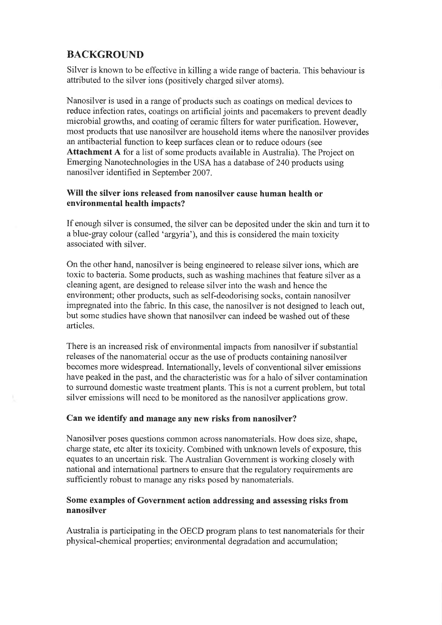# **BACKGROUND**

Silver is known to be effective in killing a wide range of bacteria. This behaviour is attributed to the silver ions (positively charged silver atoms).

Nanosilver is used in a range of products such as coatings on medical devices to reduce infection rates, coatings on artificial joints and pacemakers to prevent deadly microbial growths, and coating of ceramic filters for water purification. However, most products that use nanosilver are household items where the nanosilver provides an antibacterial function to keep surfaces clean or to reduce odours (see Attachment A for a list of some products available in Australia). The Project on Emerging Nanotechnologies in the USA has a database of 240 products using nanosilver identified in September 2007.

## Will the silver ions released from nanosilver cause human health or environmental health impacts?

If enough silver is consumed, the silver can be deposited under the skin and turn it to a blue-gray colour (called 'argyria'), and this is considered the main toxicity associated with silver.

On the other hand, nanosilver is being engineered to release silver ions, which are toxic to bacteria. Some products, such as washing machines that feature silver as a cleaning agent, are designed to release silver into the wash and hence the environment; other products, such as self-deodorising socks, contain nanosilver impregnated into the fabric. In this case, the nanosilver is not designed to leach out, but some studies have shown that nanosilver can indeed be washed out of these articles.

There is an increased risk of environmental impacts from nanosilver if substantial releases of the nanomaterial occur as the use of products containing nanosilver becomes more widespread. Internationally, levels of conventional silver emissions have peaked in the past, and the characteristic was for a halo of silver contamination to surround domestic waste treatment plants. This is not a current problem, but total silver emissions will need to be monitored as the nanosilver applications grow.

#### Can we identify and manage any new risks from nanosilver?

Nanosilver poses questions common across nanomaterials. How does size, shape, charge state, etc alter its toxicity. Combined with unknown levels of exposure, this equates to an uncertain risk. The Australian Government is working closely with national and international partners to ensure that the regulatory requirements are sufficiently robust to manage any risks posed by nanomaterials.

## Some examples of Government action addressing and assessing risks from nanosilver

Australia is participating in the OECD program plans to test nanomaterials for their physical-chemical properties; environmental degradation and accumulation;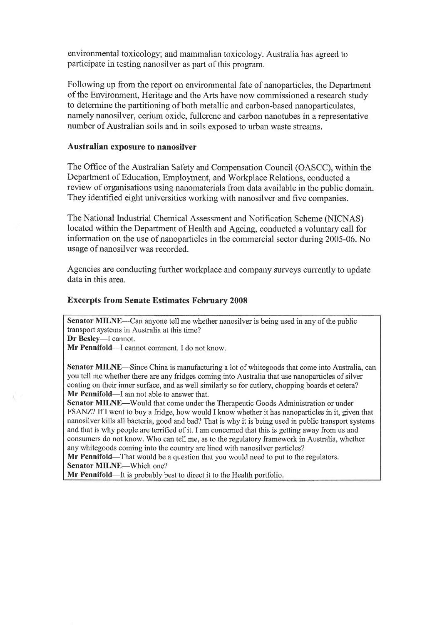environmental toxicology; and mammalian toxicology. Australia has agreed to participate in testing nanosilver as part of this program.

Following up from the report on environmental fate of nanoparticles, the Department of the Environment, Heritage and the Arts have now commissioned a research study to determine the partitioning of both metallic and carbon-based nanoparticulates, namely nanosilver, cerium oxide, fullerene and carbon nanotubes in a representative number of Australian soils and in soils exposed to urban waste streams.

#### Australian exposure to nanosilver

The Office of the Australian Safety and Compensation Council (OASCC), within the Department of Education, Employment, and Workplace Relations, conducted a review of organisations using nanomaterials from data available in the public domain. They identified eight universities working with nanosilver and five companies.

The National Industrial Chemical Assessment and Notification Scheme (NICNAS) located within the Department of Health and Ageing, conducted a voluntary call for information on the use of nanoparticles in the commercial sector during 2005-06. No usage of nanosilver was recorded.

Agencies are conducting further workplace and company surveys currently to update data in this area.

#### Excerpts from Senate Estimates February 2008

Senator MILNE—Can anyone tell me whether nanosilver is being used in any of the public transport systems in Australia at this time? Dr Besley-I cannot.

Mr Pennifold--I cannot comment. I do not know.

Senator MILNE-Since China is manufacturing a lot of whitegoods that come into Australia, can you tell me whether there are any fridges coming into Australia that use nanoparticles of silver coating on their inner surface, and as well similarly so for cutlery, chopping boards et cetera? Mr Pennifold-I am not able to answer that.

Senator MILNE-Would that come under the Therapeutic Goods Administration or under FSANZ? If I went to buy a fridge, how would I know whether it has nanoparticles in it, given that nanosilver kills all bacteria, good and bad? That is why it is being used in public transport systems and that is why people are terrified of it. I am concerned that this is getting away from us and consumers do not know. Who can tell me, as to the regulatory framework in Australia, whether any whitegoods coming into the country are lined with nanosilver particles?

Mr Pennifold—That would be a question that you would need to put to the regulators. Senator MILNE-Which one?

Mr Pennifold—It is probably best to direct it to the Health portfolio.